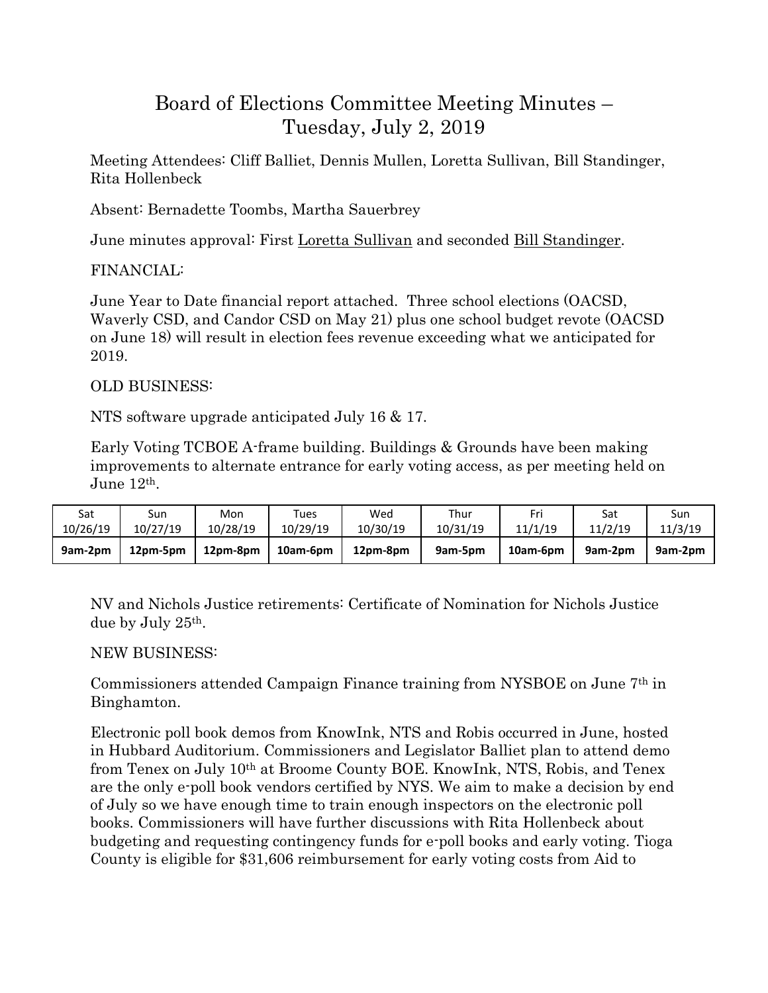# Board of Elections Committee Meeting Minutes – Tuesday, July 2, 2019

Meeting Attendees: Cliff Balliet, Dennis Mullen, Loretta Sullivan, Bill Standinger, Rita Hollenbeck

Absent: Bernadette Toombs, Martha Sauerbrey

June minutes approval: First Loretta Sullivan and seconded Bill Standinger.

## FINANCIAL:

June Year to Date financial report attached. Three school elections (OACSD, Waverly CSD, and Candor CSD on May 21) plus one school budget revote (OACSD on June 18) will result in election fees revenue exceeding what we anticipated for 2019.

## OLD BUSINESS:

NTS software upgrade anticipated July 16 & 17.

Early Voting TCBOE A-frame building. Buildings & Grounds have been making improvements to alternate entrance for early voting access, as per meeting held on June 12th.

| Sat      | Sun      | Mon      | Tues     | Wed      | Thur     | 11/1/19  | Sat     | Sun     |
|----------|----------|----------|----------|----------|----------|----------|---------|---------|
| 10/26/19 | 10/27/19 | 10/28/19 | 10/29/19 | 10/30/19 | 10/31/19 |          | 11/2/19 | 11/3/19 |
| 9am-2pm  | 12pm-5pm | 12pm-8pm | 10am-6pm | 12pm-8pm | 9am-5pm  | 10am-6pm | 9am-2pm | 9am-2pm |

NV and Nichols Justice retirements: Certificate of Nomination for Nichols Justice due by July 25th.

### NEW BUSINESS:

Commissioners attended Campaign Finance training from NYSBOE on June 7th in Binghamton.

Electronic poll book demos from KnowInk, NTS and Robis occurred in June, hosted in Hubbard Auditorium. Commissioners and Legislator Balliet plan to attend demo from Tenex on July 10th at Broome County BOE. KnowInk, NTS, Robis, and Tenex are the only e-poll book vendors certified by NYS. We aim to make a decision by end of July so we have enough time to train enough inspectors on the electronic poll books. Commissioners will have further discussions with Rita Hollenbeck about budgeting and requesting contingency funds for e-poll books and early voting. Tioga County is eligible for \$31,606 reimbursement for early voting costs from Aid to